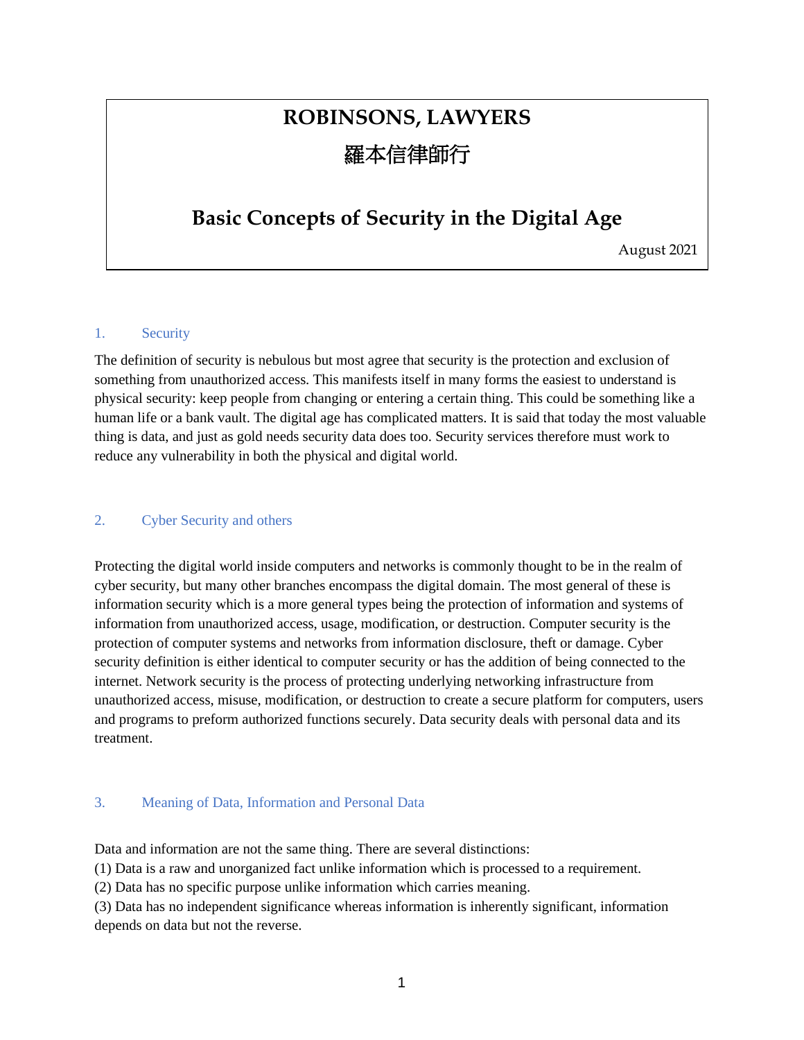# **ROBINSONS, LAWYERS** 羅本信律師行

### **Basic Concepts of Security in the Digital Age**

August 2021

#### 1. Security

The definition of security is nebulous but most agree that security is the protection and exclusion of something from unauthorized access. This manifests itself in many forms the easiest to understand is physical security: keep people from changing or entering a certain thing. This could be something like a human life or a bank vault. The digital age has complicated matters. It is said that today the most valuable thing is data, and just as gold needs security data does too. Security services therefore must work to reduce any vulnerability in both the physical and digital world.

#### 2. Cyber Security and others

Protecting the digital world inside computers and networks is commonly thought to be in the realm of cyber security, but many other branches encompass the digital domain. The most general of these is information security which is a more general types being the protection of information and systems of information from unauthorized access, usage, modification, or destruction. Computer security is the protection of computer systems and networks from information disclosure, theft or damage. Cyber security definition is either identical to computer security or has the addition of being connected to the internet. Network security is the process of protecting underlying networking infrastructure from unauthorized access, misuse, modification, or destruction to create a secure platform for computers, users and programs to preform authorized functions securely. Data security deals with personal data and its treatment.

#### 3. Meaning of Data, Information and Personal Data

Data and information are not the same thing. There are several distinctions:

(1) Data is a raw and unorganized fact unlike information which is processed to a requirement.

(2) Data has no specific purpose unlike information which carries meaning.

(3) Data has no independent significance whereas information is inherently significant, information depends on data but not the reverse.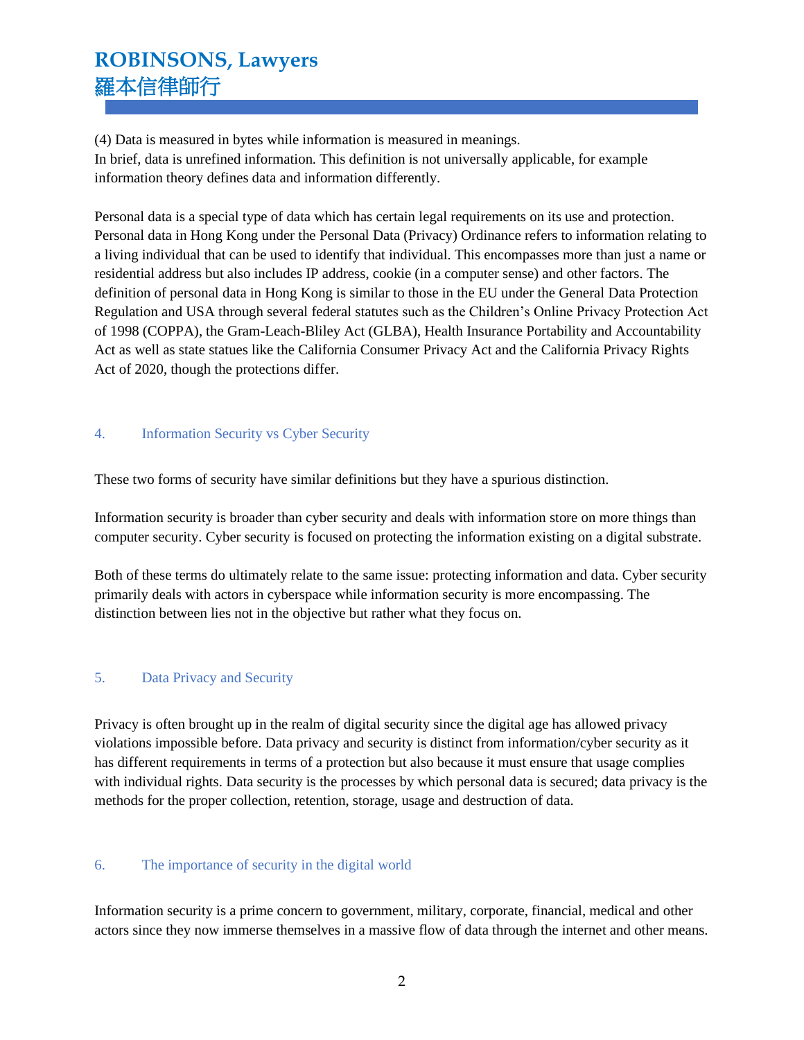## **ROBINSONS, Lawyers** 羅本信律師行

(4) Data is measured in bytes while information is measured in meanings. In brief, data is unrefined information. This definition is not universally applicable, for example information theory defines data and information differently.

Personal data is a special type of data which has certain legal requirements on its use and protection. Personal data in Hong Kong under the Personal Data (Privacy) Ordinance refers to information relating to a living individual that can be used to identify that individual. This encompasses more than just a name or residential address but also includes IP address, cookie (in a computer sense) and other factors. The definition of personal data in Hong Kong is similar to those in the EU under the General Data Protection Regulation and USA through several federal statutes such as the Children's Online Privacy Protection Act of 1998 (COPPA), the Gram-Leach-Bliley Act (GLBA), Health Insurance Portability and Accountability Act as well as state statues like the California Consumer Privacy Act and the California Privacy Rights Act of 2020, though the protections differ.

#### 4. Information Security vs Cyber Security

These two forms of security have similar definitions but they have a spurious distinction.

Information security is broader than cyber security and deals with information store on more things than computer security. Cyber security is focused on protecting the information existing on a digital substrate.

Both of these terms do ultimately relate to the same issue: protecting information and data. Cyber security primarily deals with actors in cyberspace while information security is more encompassing. The distinction between lies not in the objective but rather what they focus on.

#### 5. Data Privacy and Security

Privacy is often brought up in the realm of digital security since the digital age has allowed privacy violations impossible before. Data privacy and security is distinct from information/cyber security as it has different requirements in terms of a protection but also because it must ensure that usage complies with individual rights. Data security is the processes by which personal data is secured; data privacy is the methods for the proper collection, retention, storage, usage and destruction of data.

#### 6. The importance of security in the digital world

Information security is a prime concern to government, military, corporate, financial, medical and other actors since they now immerse themselves in a massive flow of data through the internet and other means.